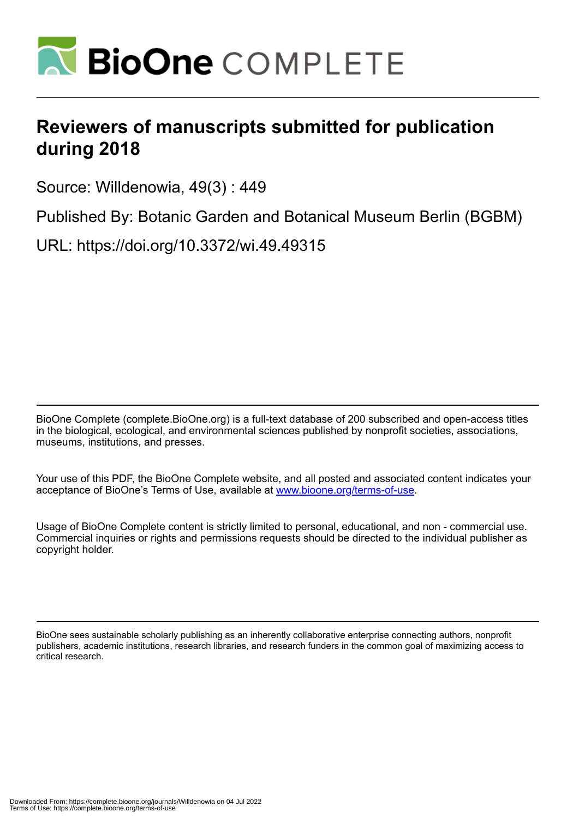

## **Reviewers of manuscripts submitted for publication during 2018**

Source: Willdenowia, 49(3) : 449

Published By: Botanic Garden and Botanical Museum Berlin (BGBM)

URL: https://doi.org/10.3372/wi.49.49315

BioOne Complete (complete.BioOne.org) is a full-text database of 200 subscribed and open-access titles in the biological, ecological, and environmental sciences published by nonprofit societies, associations, museums, institutions, and presses.

Your use of this PDF, the BioOne Complete website, and all posted and associated content indicates your acceptance of BioOne's Terms of Use, available at www.bioone.org/terms-of-use.

Usage of BioOne Complete content is strictly limited to personal, educational, and non - commercial use. Commercial inquiries or rights and permissions requests should be directed to the individual publisher as copyright holder.

BioOne sees sustainable scholarly publishing as an inherently collaborative enterprise connecting authors, nonprofit publishers, academic institutions, research libraries, and research funders in the common goal of maximizing access to critical research.